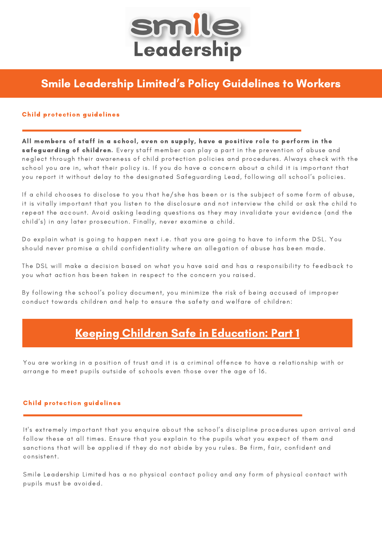

# Smile Leadership Limited' s Policy Guidelines to Workers

## Child protection guidelines

All members of staff in a school, even on supply, have a positive role to perform in the safeguarding of children. Every staff member can play a part in the prevention of abuse and neglect through their awareness of child protection policies and procedures. Always check with the school you are in, what their policy is. If you do have a concern about a child it is important that you report it without delay to the designated Safeguarding Lead, following all school's policies.

If a child chooses to disclose to you that he/she has been or is the subject of some form of abuse, it is vitally important that you listen to the disclosure and not interview the child or ask the child to repeat the account. Avoid asking leading questions as they may invalidate your evidence (and the child's) in any later prosecution. Finally, never examine a child.

Do explain what is going to happen next i.e. that you are going to have to inform the DSL. You should never promise a child confidentiality where an allegation of abuse has been made.

The DSL will make a decision based on what you have said and has a responsibility to feedback to you what action has been taken in respect to the concern you raised.

By following the school's policy document, you minimize the risk of being accused of improper conduct towards children and help to ensure the safety and welfare of children:

# Keeping Children Safe in [Education:](https://www.gov.uk/government/publications/keeping-children-safe-in-education--2) Part 1

You are working in a position of trust and it is a criminal offence to have a relationship with or arrange to meet pupils outside of schools even those over the age of 16.

# Child protection guidelines

It's extremely important that you enquire about the school's discipline procedures upon arrival and follow these at all times. Ensure that you explain to the pupils what you expect of them and sanctions that will be applied if they do not abide by you rules. Be firm, fair, confident and consistent.

Smile Leadership Limited has a no physical contact policy and any form of physical contact with pupils must be avoided.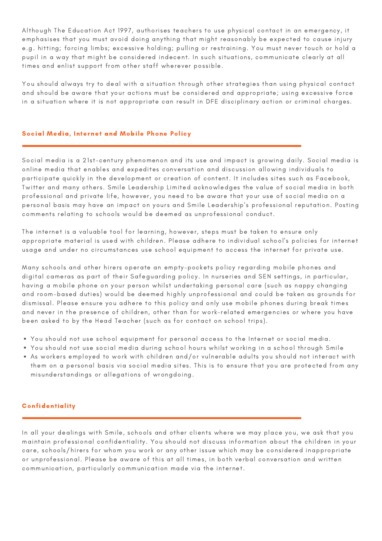Although The Education Act 1997, authorises teachers to use physical contact in an emergency, it emphasises that you must avoid doing anything that might reasonably be expected to cause injury e.g. hitting; forcing limbs; excessive holding; pulling or restraining. You must never touch or hold a pupil in a way that might be considered indecent. In such situations, communicate clearly at all times and enlist support from other staff wherever possible.

You should always try to deal with a situation through other strategies than using physical contact and should be aware that your actions must be considered and appropriate; using excessive force in a situation where it is not appropriate can result in DFE disciplinary action or criminal charges.

## Social Media, Internet and Mobile Phone Policy

Social media is a 21st-century phenomenon and its use and impact is growing daily. Social media is online media that enables and expedites conversation and discussion allowing individuals to participate quickly in the development or creation of content. It includes sites such as Facebook, Twitter and many others. Smile Leadership Limited acknowledges the value of social media in both professional and private life, however, you need to be aware that your use of social media on a personal basis may have an impact on yours and Smile Leadership's professional reputation. Posting comments relating to schools would be deemed as unprofessional conduct.

The internet is a valuable tool for learning, however, steps must be taken to ensure only appropriate material is used with children. Please adhere to individual school's policies for internet usage and under no circumstances use school equipment to access the internet for private use.

Many schools and other hirers operate an empty-pockets policy regarding mobile phones and digital cameras as part of their Safeguarding policy. In nurseries and SEN settings, in particular, having a mobile phone on your person whilst undertaking personal care (such as nappy changing and room-based duties) would be deemed highly unprofessional and could be taken as grounds for dismissal. Please ensure you adhere to this policy and only use mobile phones during break times and never in the presence of children, other than for work-related emergencies or where you have been asked to by the Head Teacher (such as for contact on school trips).

- You should not use school equipment for personal access to the Internet or social media.
- You should not use social media during school hours whilst working in a school through Smile
- As workers employed to work with children and/or vulnerable adults you should not interact with them on a personal basis via social media sites. This is to ensure that you are protected from any misunderstandings or allegations of wrongdoing.

# Confidentiality

In all your dealings with Smile, schools and other clients where we may place you, we ask that you maintain professional confidentiality. You should not discuss information about the children in your care, schools/hirers for whom you work or any other issue which may be considered inappropriate or unprofessional. Please be aware of this at all times, in both verbal conversation and written communication, particularly communication made via the internet.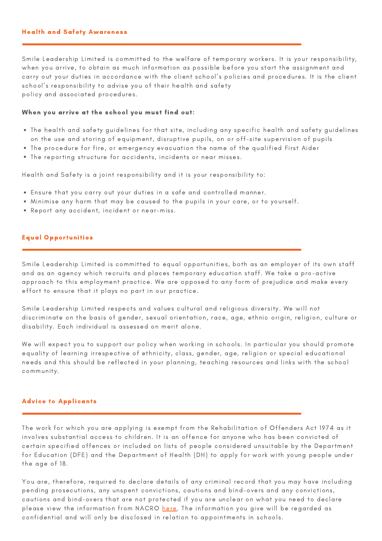### Health and Safety Awareness

Smile Leadership Limited is committed to the welfare of temporary workers. It is your responsibility, when you arrive, to obtain as much information as possible before you start the assignment and carry out your duties in accordance with the client school's policies and procedures. It is the client school's responsibility to advise you of their health and safety policy and associated procedures.

#### When you arrive at the school you must find out:

- The health and safety guidelines for that site, including any specific health and safety guidelines on the use and storing of equipment, disruptive pupils, on or off-site supervision of pupils
- The procedure for fire, or emergency evacuation the name of the qualified First Aider
- The reporting structure for accidents, incidents or near misses.

Health and Safety is a joint responsibility and it is your responsibility to:

- Ensure that you carry out your duties in a safe and controlled manner.
- Minimise any harm that may be caused to the pupils in your care, or to yourself.
- Report any accident, incident or near-miss.

#### Equal Opportunities

Smile Leadership Limited is committed to equal opportunities, both as an employer of its own staff and as an agency which recruits and places temporary education staff. We take a pro-active approach to this employment practice. We are opposed to any form of prejudice and make every effort to ensure that it plays no part in our practice.

Smile Leadership Limited respects and values cultural and religious diversity. We will not discriminate on the basis of gender, sexual orientation, race, age, ethnic origin, religion, culture or disability. Each individual is assessed on merit alone.

We will expect you to support our policy when working in schools. In particular you should promote equality of learning irrespective of ethnicity, class, gender, age, religion or special educational needs and this should be reflected in your planning, teaching resources and links with the school community.

#### Advice to Applicants

The work for which you are applying is exempt from the Rehabilitation of Offenders Act 1974 as it involves substantial access to children. It is an offence for anyone who has been convicted of certain specified offences or included on lists of people considered unsuitable by the Department for Education (DFE) and the Department of Health (DH) to apply for work with young people under the age of 18.

You are, therefore, required to declare details of any criminal record that you may have including pending prosecutions, any unspent convictions, cautions and bind-overs and any convictions, cautions and bind-overs that are not protected if you are unclear on what you need to declare please view the information from NACRO [here](https://www.nacro.org.uk/news/nacro-news/dbs-filtering-regime-changes-to-come-into-effect-end-of-nov/). The information you give will be regarded as confidential and will only be disclosed in relation to appointments in schools.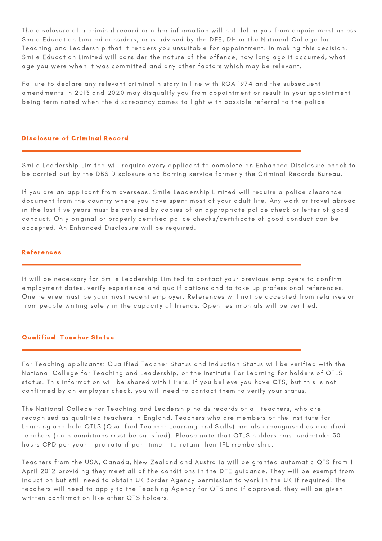The disclosure of a criminal record or other information will not debar you from appointment unless Smile Education Limited considers, or is advised by the DFE, DH or the National College for Teaching and Leadership that it renders you unsuitable for appointment. In making this decision, Smile Education Limited will consider the nature of the offence, how long ago it occurred, what age you were when it was committed and any other factors which may be relevant.

Failure to declare any relevant criminal history in line with ROA 1974 and the subsequent amendments in 2013 and 2020 may disqualify you from appointment or result in your appointment being terminated when the discrepancy comes to light with possible referral to the police

### Disclosure of Criminal Record

Smile Leadership Limited will require every applicant to complete an Enhanced Disclosure check to be carried out by the DBS Disclosure and Barring service formerly the Criminal Records Bureau.

If you are an applicant from overseas, Smile Leadership Limited will require a police clearance document from the country where you have spent most of your adult life. Any work or travel abroad in the last five years must be covered by copies of an appropriate police check or letter of good conduct. Only original or properly certified police checks/certificate of good conduct can be accepted. An Enhanced Disclosure will be required.

## References

It will be necessary for Smile Leadership Limited to contact your previous employers to confirm employment dates, verify experience and qualifications and to take up professional references. One referee must be your most recent employer. References will not be accepted from relatives or from people writing solely in the capacity of friends. Open testimonials will be verified.

#### Qualified Teacher Status

For Teaching applicants: Qualified Teacher Status and Induction Status will be verified with the National College for Teaching and Leadership, or the Institute For Learning for holders of QTLS status. This information will be shared with Hirers. If you believe you have QTS, but this is not confirmed by an employer check, you will need to contact them to verify your status.

The National College for Teaching and Leadership holds records of all teachers, who are recognised as qualified teachers in England. Teachers who are members of the Institute for Learning and hold QTLS (Qualified Teacher Learning and Skills) are also recognised as qualified teachers (both conditions must be satisfied). Please note that QTLS holders must undertake 30 hours CPD per year – pro rata if part time – to retain their IFL membership.

Teachers from the USA, Canada, New Zealand and Australia will be granted automatic QTS from 1 April 2012 providing they meet all of the conditions in the DFE guidance. They will be exempt from induction but still need to obtain UK Border Agency permission to work in the UK if required. The teachers will need to apply to the Teaching Agency for QTS and if approved, they will be given written confirmation like other QTS holders.